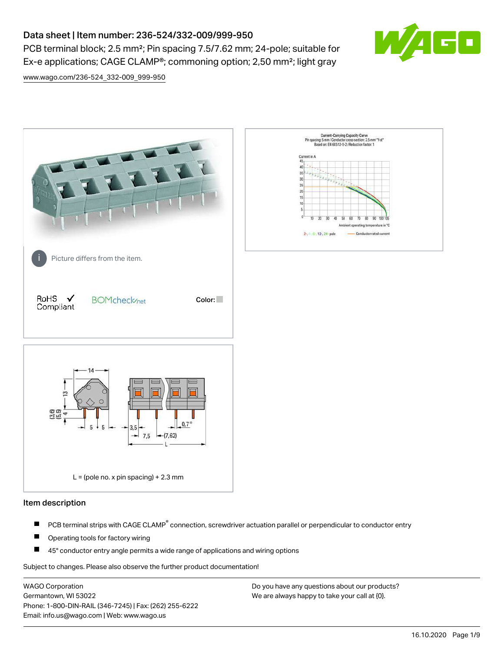# Data sheet | Item number: 236-524/332-009/999-950

PCB terminal block; 2.5 mm²; Pin spacing 7.5/7.62 mm; 24-pole; suitable for Ex-e applications; CAGE CLAMP®; commoning option; 2,50 mm²; light gray



[www.wago.com/236-524\\_332-009\\_999-950](http://www.wago.com/236-524_332-009_999-950)



### Item description

- PCB terminal strips with CAGE CLAMP<sup>®</sup> connection, screwdriver actuation parallel or perpendicular to conductor entry П
- П Operating tools for factory wiring
- П 45° conductor entry angle permits a wide range of applications and wiring options

Subject to changes. Please also observe the further product documentation!

WAGO Corporation Germantown, WI 53022 Phone: 1-800-DIN-RAIL (346-7245) | Fax: (262) 255-6222 Email: info.us@wago.com | Web: www.wago.us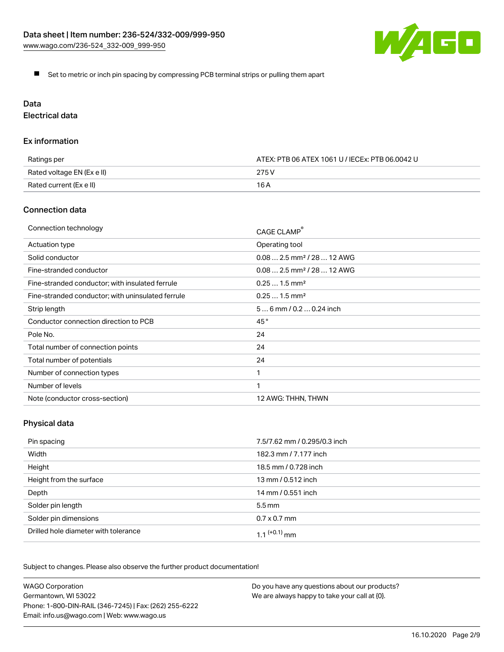

Set to metric or inch pin spacing by compressing PCB terminal strips or pulling them apart

# Data

Electrical data

### Ex information

| Ratings per                | ATEX: PTB 06 ATEX 1061 U / IECEx: PTB 06.0042 U |
|----------------------------|-------------------------------------------------|
| Rated voltage EN (Ex e II) | 275 V                                           |
| Rated current (Ex e II)    | 16 A                                            |

### Connection data

| Connection technology                             | CAGE CLAMP®                            |
|---------------------------------------------------|----------------------------------------|
| Actuation type                                    | Operating tool                         |
| Solid conductor                                   | $0.082.5$ mm <sup>2</sup> / 28  12 AWG |
| Fine-stranded conductor                           | $0.082.5$ mm <sup>2</sup> / 28  12 AWG |
| Fine-stranded conductor; with insulated ferrule   | $0.251.5$ mm <sup>2</sup>              |
| Fine-stranded conductor; with uninsulated ferrule | $0.251.5$ mm <sup>2</sup>              |
| Strip length                                      | $56$ mm / 0.2 $$ 0.24 inch             |
| Conductor connection direction to PCB             | 45°                                    |
| Pole No.                                          | 24                                     |
| Total number of connection points                 | 24                                     |
| Total number of potentials                        | 24                                     |
| Number of connection types                        |                                        |
| Number of levels                                  | 1                                      |
| Note (conductor cross-section)                    | 12 AWG: THHN, THWN                     |

# Physical data

| Pin spacing                          | 7.5/7.62 mm / 0.295/0.3 inch |
|--------------------------------------|------------------------------|
| Width                                | 182.3 mm / 7.177 inch        |
| Height                               | 18.5 mm / 0.728 inch         |
| Height from the surface              | 13 mm / 0.512 inch           |
| Depth                                | 14 mm / 0.551 inch           |
| Solder pin length                    | $5.5 \,\mathrm{mm}$          |
| Solder pin dimensions                | $0.7 \times 0.7$ mm          |
| Drilled hole diameter with tolerance | $1.1$ $(+0.1)$ mm            |

Subject to changes. Please also observe the further product documentation!

| <b>WAGO Corporation</b>                                | Do you have any questions about our products? |
|--------------------------------------------------------|-----------------------------------------------|
| Germantown, WI 53022                                   | We are always happy to take your call at {0}. |
| Phone: 1-800-DIN-RAIL (346-7245)   Fax: (262) 255-6222 |                                               |
| Email: info.us@wago.com   Web: www.wago.us             |                                               |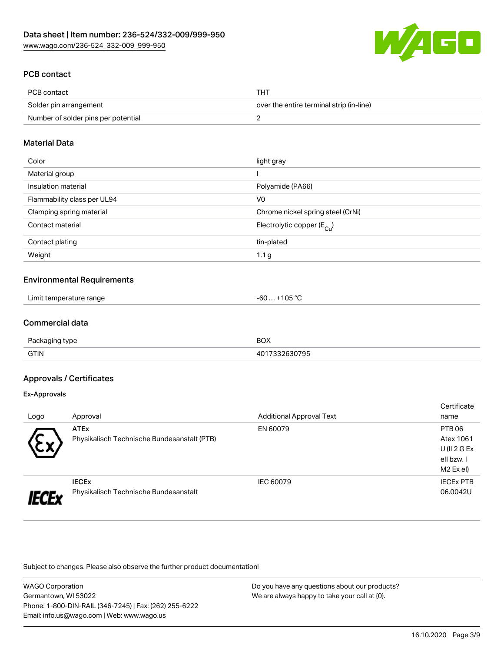

## PCB contact

| PCB contact                         | тнт                                      |
|-------------------------------------|------------------------------------------|
| Solder pin arrangement              | over the entire terminal strip (in-line) |
| Number of solder pins per potential |                                          |

### Material Data

| Color                       | light gray                              |
|-----------------------------|-----------------------------------------|
| Material group              |                                         |
| Insulation material         | Polyamide (PA66)                        |
| Flammability class per UL94 | V <sub>0</sub>                          |
| Clamping spring material    | Chrome nickel spring steel (CrNi)       |
| Contact material            | Electrolytic copper ( $E_{\text{Cu}}$ ) |
| Contact plating             | tin-plated                              |
| Weight                      | 1.1 <sub>g</sub>                        |

### Environmental Requirements

| Limit temperature range<br><u>in the second contract of the second contract of the second contract of the second contract of the second contract of the second contract of the second contract of the second contract of the second contract of the second </u><br>. . | <b>OR</b> or<br>~~<br>-bL<br>$\overline{\mathbf{u}}$ |  |
|------------------------------------------------------------------------------------------------------------------------------------------------------------------------------------------------------------------------------------------------------------------------|------------------------------------------------------|--|
|------------------------------------------------------------------------------------------------------------------------------------------------------------------------------------------------------------------------------------------------------------------------|------------------------------------------------------|--|

### Commercial data

| Do <sub>1</sub><br>≀tvne<br>anınn | <b>BOX</b> |
|-----------------------------------|------------|
| <b>GTIN</b>                       | ---<br>795 |

### Approvals / Certificates

#### Ex-Approvals

|      |                                             |                                 | Certificate      |
|------|---------------------------------------------|---------------------------------|------------------|
| Logo | Approval                                    | <b>Additional Approval Text</b> | name             |
|      | <b>ATEx</b>                                 | EN 60079                        | PTB 06           |
| w    | Physikalisch Technische Bundesanstalt (PTB) |                                 | Atex 1061        |
|      |                                             |                                 | $U($ ll 2 G Ex   |
|      |                                             |                                 | ell bzw. I       |
|      |                                             |                                 | M2 Ex el)        |
|      | <b>IECEX</b>                                | IEC 60079                       | <b>IECEX PTB</b> |
|      | Physikalisch Technische Bundesanstalt       |                                 | 06.0042U         |

Subject to changes. Please also observe the further product documentation!

| <b>WAGO Corporation</b>                                |
|--------------------------------------------------------|
| Germantown, WI 53022                                   |
| Phone: 1-800-DIN-RAIL (346-7245)   Fax: (262) 255-6222 |
| Email: info.us@wago.com   Web: www.wago.us             |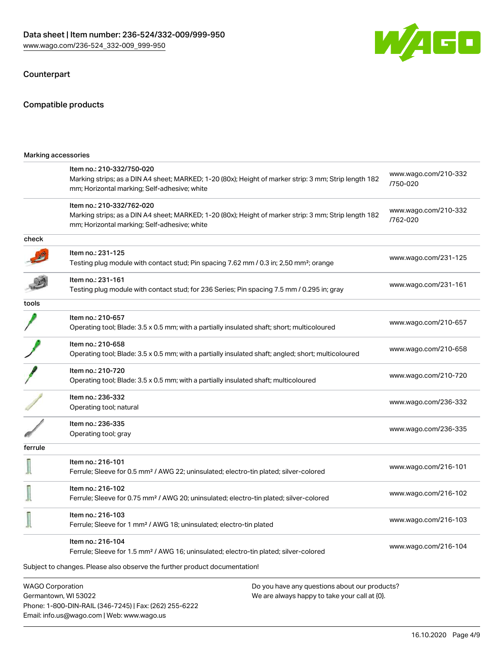Phone: 1-800-DIN-RAIL (346-7245) | Fax: (262) 255-6222

Email: info.us@wago.com | Web: www.wago.us



## Counterpart

## Compatible products

|         | Marking accessories                                                                                                                                                                |  |                                  |
|---------|------------------------------------------------------------------------------------------------------------------------------------------------------------------------------------|--|----------------------------------|
|         | Item no.: 210-332/750-020<br>Marking strips; as a DIN A4 sheet; MARKED; 1-20 (80x); Height of marker strip: 3 mm; Strip length 182<br>mm; Horizontal marking; Self-adhesive; white |  | www.wago.com/210-332<br>/750-020 |
|         | Item no.: 210-332/762-020<br>Marking strips; as a DIN A4 sheet; MARKED; 1-20 (80x); Height of marker strip: 3 mm; Strip length 182<br>mm; Horizontal marking; Self-adhesive; white |  | www.wago.com/210-332<br>/762-020 |
| check   |                                                                                                                                                                                    |  |                                  |
|         | Item no.: 231-125<br>Testing plug module with contact stud; Pin spacing 7.62 mm / 0.3 in; 2,50 mm <sup>2</sup> ; orange                                                            |  | www.wago.com/231-125             |
|         | ltem no.: 231-161<br>Testing plug module with contact stud; for 236 Series; Pin spacing 7.5 mm / 0.295 in; gray                                                                    |  | www.wago.com/231-161             |
| tools   |                                                                                                                                                                                    |  |                                  |
|         | Item no.: 210-657<br>Operating tool; Blade: 3.5 x 0.5 mm; with a partially insulated shaft; short; multicoloured                                                                   |  | www.wago.com/210-657             |
|         | Item no.: 210-658<br>Operating tool; Blade: 3.5 x 0.5 mm; with a partially insulated shaft; angled; short; multicoloured                                                           |  | www.wago.com/210-658             |
|         | Item no.: 210-720<br>Operating tool; Blade: 3.5 x 0.5 mm; with a partially insulated shaft; multicoloured                                                                          |  | www.wago.com/210-720             |
|         | Item no.: 236-332<br>Operating tool; natural                                                                                                                                       |  | www.wago.com/236-332             |
|         | Item no.: 236-335<br>Operating tool; gray                                                                                                                                          |  | www.wago.com/236-335             |
| ferrule |                                                                                                                                                                                    |  |                                  |
|         | Item no.: 216-101<br>Ferrule; Sleeve for 0.5 mm <sup>2</sup> / AWG 22; uninsulated; electro-tin plated; silver-colored                                                             |  | www.wago.com/216-101             |
|         | Item no.: 216-102<br>Ferrule; Sleeve for 0.75 mm <sup>2</sup> / AWG 20; uninsulated; electro-tin plated; silver-colored                                                            |  | www.wago.com/216-102             |
| Щ       | Item no.: 216-103<br>Ferrule; Sleeve for 1 mm <sup>2</sup> / AWG 18; uninsulated; electro-tin plated                                                                               |  | www.wago.com/216-103             |
|         | Item no.: 216-104<br>Ferrule; Sleeve for 1.5 mm <sup>2</sup> / AWG 16; uninsulated; electro-tin plated; silver-colored                                                             |  | www.wago.com/216-104             |
|         | Subject to changes. Please also observe the further product documentation!                                                                                                         |  |                                  |
|         | <b>WAGO Corporation</b><br>Do you have any questions about our products?<br>Germantown, WI 53022<br>We are always happy to take your call at {0}.                                  |  |                                  |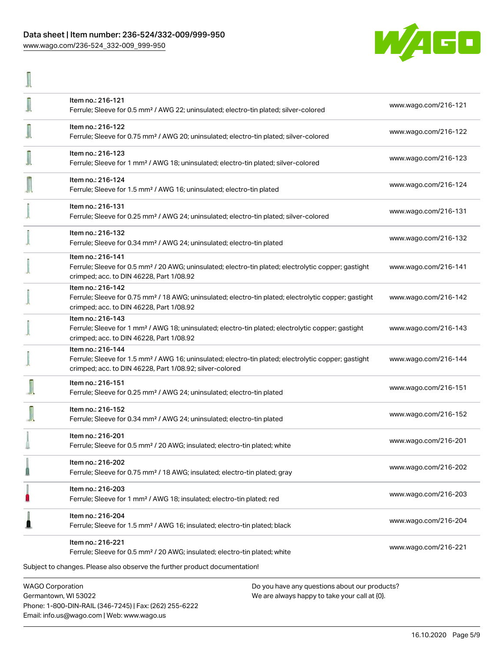### Data sheet | Item number: 236-524/332-009/999-950 [www.wago.com/236-524\\_332-009\\_999-950](http://www.wago.com/236-524_332-009_999-950)

T



| Item no.: 216-204<br>Ferrule; Sleeve for 1.5 mm <sup>2</sup> / AWG 16; insulated; electro-tin plated; black<br>Item no.: 216-221<br>Ferrule; Sleeve for 0.5 mm <sup>2</sup> / 20 AWG; insulated; electro-tin plated; white<br>Subject to changes. Please also observe the further product documentation! | www.wago.com/216-204<br>www.wago.com/216-221 |
|----------------------------------------------------------------------------------------------------------------------------------------------------------------------------------------------------------------------------------------------------------------------------------------------------------|----------------------------------------------|
|                                                                                                                                                                                                                                                                                                          |                                              |
|                                                                                                                                                                                                                                                                                                          |                                              |
| Item no.: 216-203<br>Ferrule; Sleeve for 1 mm <sup>2</sup> / AWG 18; insulated; electro-tin plated; red                                                                                                                                                                                                  | www.wago.com/216-203                         |
| Item no.: 216-202<br>Ferrule; Sleeve for 0.75 mm <sup>2</sup> / 18 AWG; insulated; electro-tin plated; gray                                                                                                                                                                                              | www.wago.com/216-202                         |
| Item no.: 216-201<br>Ferrule; Sleeve for 0.5 mm <sup>2</sup> / 20 AWG; insulated; electro-tin plated; white                                                                                                                                                                                              | www.wago.com/216-201                         |
| Item no.: 216-152<br>Ferrule; Sleeve for 0.34 mm <sup>2</sup> / AWG 24; uninsulated; electro-tin plated                                                                                                                                                                                                  | www.wago.com/216-152                         |
| Item no.: 216-151<br>Ferrule; Sleeve for 0.25 mm <sup>2</sup> / AWG 24; uninsulated; electro-tin plated                                                                                                                                                                                                  | www.wago.com/216-151                         |
| Item no.: 216-144<br>Ferrule; Sleeve for 1.5 mm <sup>2</sup> / AWG 16; uninsulated; electro-tin plated; electrolytic copper; gastight<br>crimped; acc. to DIN 46228, Part 1/08.92; silver-colored                                                                                                        | www.wago.com/216-144                         |
| Item no.: 216-143<br>Ferrule; Sleeve for 1 mm <sup>2</sup> / AWG 18; uninsulated; electro-tin plated; electrolytic copper; gastight<br>crimped; acc. to DIN 46228, Part 1/08.92                                                                                                                          | www.wago.com/216-143                         |
| Item no.: 216-142<br>Ferrule; Sleeve for 0.75 mm <sup>2</sup> / 18 AWG; uninsulated; electro-tin plated; electrolytic copper; gastight<br>crimped; acc. to DIN 46228, Part 1/08.92                                                                                                                       | www.wago.com/216-142                         |
| Item no.: 216-141<br>Ferrule; Sleeve for 0.5 mm <sup>2</sup> / 20 AWG; uninsulated; electro-tin plated; electrolytic copper; gastight<br>crimped; acc. to DIN 46228, Part 1/08.92                                                                                                                        | www.wago.com/216-141                         |
| Item no.: 216-132<br>Ferrule; Sleeve for 0.34 mm <sup>2</sup> / AWG 24; uninsulated; electro-tin plated                                                                                                                                                                                                  | www.wago.com/216-132                         |
| Item no.: 216-131<br>Ferrule; Sleeve for 0.25 mm <sup>2</sup> / AWG 24; uninsulated; electro-tin plated; silver-colored                                                                                                                                                                                  | www.wago.com/216-131                         |
| Item no.: 216-124<br>Ferrule; Sleeve for 1.5 mm <sup>2</sup> / AWG 16; uninsulated; electro-tin plated                                                                                                                                                                                                   | www.wago.com/216-124                         |
| Item no.: 216-123<br>Ferrule; Sleeve for 1 mm <sup>2</sup> / AWG 18; uninsulated; electro-tin plated; silver-colored                                                                                                                                                                                     | www.wago.com/216-123                         |
| Item no.: 216-122<br>Ferrule; Sleeve for 0.75 mm <sup>2</sup> / AWG 20; uninsulated; electro-tin plated; silver-colored                                                                                                                                                                                  | www.wago.com/216-122                         |
| Item no.: 216-121<br>Ferrule; Sleeve for 0.5 mm <sup>2</sup> / AWG 22; uninsulated; electro-tin plated; silver-colored                                                                                                                                                                                   | www.wago.com/216-121                         |
|                                                                                                                                                                                                                                                                                                          |                                              |

Germantown, WI 53022 Phone: 1-800-DIN-RAIL (346-7245) | Fax: (262) 255-6222 Email: info.us@wago.com | Web: www.wago.us

We are always happy to take your call at {0}.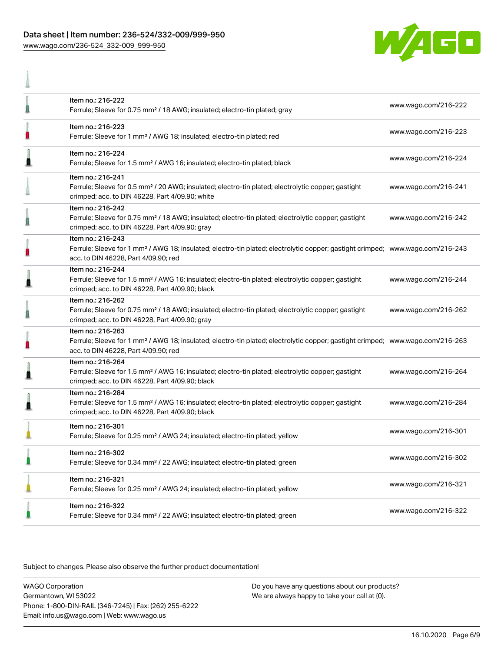### Data sheet | Item number: 236-524/332-009/999-950 [www.wago.com/236-524\\_332-009\\_999-950](http://www.wago.com/236-524_332-009_999-950)

A



| Item no.: 216-222<br>Ferrule; Sleeve for 0.75 mm <sup>2</sup> / 18 AWG; insulated; electro-tin plated; gray                                                                                             | www.wago.com/216-222 |
|---------------------------------------------------------------------------------------------------------------------------------------------------------------------------------------------------------|----------------------|
| Item no.: 216-223<br>Ferrule; Sleeve for 1 mm <sup>2</sup> / AWG 18; insulated; electro-tin plated; red                                                                                                 | www.wago.com/216-223 |
| Item no.: 216-224<br>Ferrule; Sleeve for 1.5 mm <sup>2</sup> / AWG 16; insulated; electro-tin plated; black                                                                                             | www.wago.com/216-224 |
| Item no.: 216-241<br>Ferrule; Sleeve for 0.5 mm <sup>2</sup> / 20 AWG; insulated; electro-tin plated; electrolytic copper; gastight<br>crimped; acc. to DIN 46228, Part 4/09.90; white                  | www.wago.com/216-241 |
| Item no.: 216-242<br>Ferrule; Sleeve for 0.75 mm <sup>2</sup> / 18 AWG; insulated; electro-tin plated; electrolytic copper; gastight<br>crimped; acc. to DIN 46228, Part 4/09.90; gray                  | www.wago.com/216-242 |
| Item no.: 216-243<br>Ferrule; Sleeve for 1 mm <sup>2</sup> / AWG 18; insulated; electro-tin plated; electrolytic copper; gastight crimped; www.wago.com/216-243<br>acc. to DIN 46228, Part 4/09.90; red |                      |
| Item no.: 216-244<br>Ferrule; Sleeve for 1.5 mm <sup>2</sup> / AWG 16; insulated; electro-tin plated; electrolytic copper; gastight<br>crimped; acc. to DIN 46228, Part 4/09.90; black                  | www.wago.com/216-244 |
| Item no.: 216-262<br>Ferrule; Sleeve for 0.75 mm <sup>2</sup> / 18 AWG; insulated; electro-tin plated; electrolytic copper; gastight<br>crimped; acc. to DIN 46228, Part 4/09.90; gray                  | www.wago.com/216-262 |
| Item no.: 216-263<br>Ferrule; Sleeve for 1 mm <sup>2</sup> / AWG 18; insulated; electro-tin plated; electrolytic copper; gastight crimped; www.wago.com/216-263<br>acc. to DIN 46228, Part 4/09.90; red |                      |
| Item no.: 216-264<br>Ferrule; Sleeve for 1.5 mm <sup>2</sup> / AWG 16; insulated; electro-tin plated; electrolytic copper; gastight<br>crimped; acc. to DIN 46228, Part 4/09.90; black                  | www.wago.com/216-264 |
| Item no.: 216-284<br>Ferrule; Sleeve for 1.5 mm <sup>2</sup> / AWG 16; insulated; electro-tin plated; electrolytic copper; gastight<br>crimped; acc. to DIN 46228, Part 4/09.90; black                  | www.wago.com/216-284 |
| Item no.: 216-301<br>Ferrule; Sleeve for 0.25 mm <sup>2</sup> / AWG 24; insulated; electro-tin plated; yellow                                                                                           | www.wago.com/216-301 |
| Item no.: 216-302<br>Ferrule; Sleeve for 0.34 mm <sup>2</sup> / 22 AWG; insulated; electro-tin plated; green                                                                                            | www.wago.com/216-302 |
| Item no.: 216-321<br>Ferrule; Sleeve for 0.25 mm <sup>2</sup> / AWG 24; insulated; electro-tin plated; yellow                                                                                           | www.wago.com/216-321 |
| Item no.: 216-322<br>Ferrule; Sleeve for 0.34 mm <sup>2</sup> / 22 AWG; insulated; electro-tin plated; green                                                                                            | www.wago.com/216-322 |

Subject to changes. Please also observe the further product documentation!

WAGO Corporation Germantown, WI 53022 Phone: 1-800-DIN-RAIL (346-7245) | Fax: (262) 255-6222 Email: info.us@wago.com | Web: www.wago.us Do you have any questions about our products? We are always happy to take your call at {0}.

16.10.2020 Page 6/9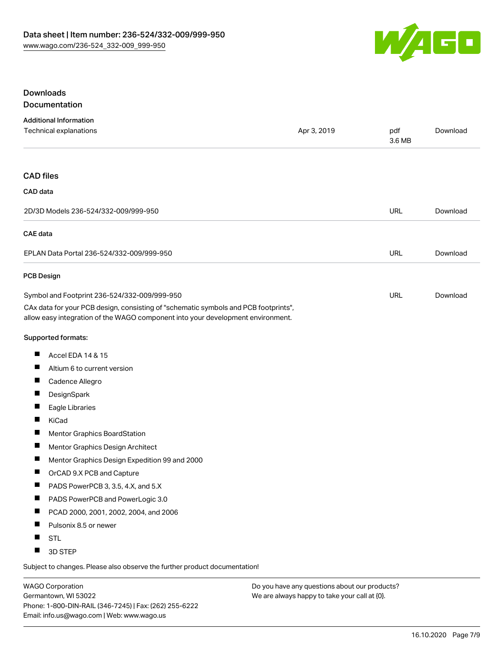

### **Downloads** Documentation

| <b>Additional Information</b> |             |        |          |
|-------------------------------|-------------|--------|----------|
| Technical explanations        | Apr 3, 2019 | pdf    | Download |
|                               |             | 3.6 MB |          |

### CAD files

| CAD data                                  |            |          |
|-------------------------------------------|------------|----------|
| 2D/3D Models 236-524/332-009/999-950      | <b>URL</b> | Download |
| CAE data                                  |            |          |
| EPLAN Data Portal 236-524/332-009/999-950 |            | Download |
| <b>PCB Design</b>                         |            |          |

#### Symbol and Footprint 236-524/332-009/999-950 CAx data for your PCB design, consisting of "schematic symbols and PCB footprints", URL [Download](https://www.wago.com/us/d/UltraLibrarian_URLS_236-524_332-009_999-950)

allow easy integration of the WAGO component into your development environment.

### Supported formats:

- $\blacksquare$ Accel EDA 14 & 15
- П Altium 6 to current version
- $\blacksquare$ Cadence Allegro
- $\blacksquare$ **DesignSpark**
- $\blacksquare$ Eagle Libraries
- $\blacksquare$ KiCad
- П Mentor Graphics BoardStation
- $\blacksquare$ Mentor Graphics Design Architect
- $\blacksquare$ Mentor Graphics Design Expedition 99 and 2000
- $\blacksquare$ OrCAD 9.X PCB and Capture
- $\blacksquare$ PADS PowerPCB 3, 3.5, 4.X, and 5.X
- $\blacksquare$ PADS PowerPCB and PowerLogic 3.0
- $\blacksquare$ PCAD 2000, 2001, 2002, 2004, and 2006
- $\blacksquare$ Pulsonix 8.5 or newer
- $\blacksquare$ STL
- $\blacksquare$ 3D STEP

Subject to changes. Please also observe the further product documentation!

WAGO Corporation Germantown, WI 53022 Phone: 1-800-DIN-RAIL (346-7245) | Fax: (262) 255-6222 Email: info.us@wago.com | Web: www.wago.us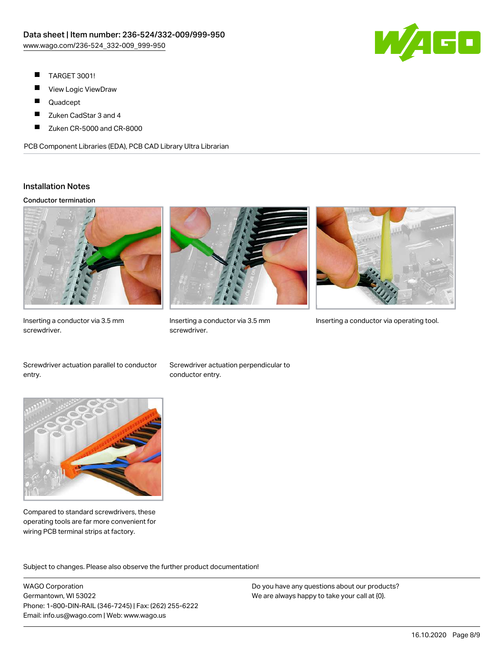

- П TARGET 3001!
- ш View Logic ViewDraw
- П Quadcept
- $\blacksquare$ Zuken CadStar 3 and 4
- Zuken CR-5000 and CR-8000 П

PCB Component Libraries (EDA), PCB CAD Library Ultra Librarian

### Installation Notes

#### Conductor termination



Inserting a conductor via 3.5 mm screwdriver.



screwdriver.



Inserting a conductor via 3.5 mm Inserting a conductor via operating tool.

Screwdriver actuation parallel to conductor entry.

Screwdriver actuation perpendicular to conductor entry.



Compared to standard screwdrivers, these operating tools are far more convenient for wiring PCB terminal strips at factory.

.<br>Subject to changes. Please also observe the further product documentation!

WAGO Corporation Germantown, WI 53022 Phone: 1-800-DIN-RAIL (346-7245) | Fax: (262) 255-6222 Email: info.us@wago.com | Web: www.wago.us